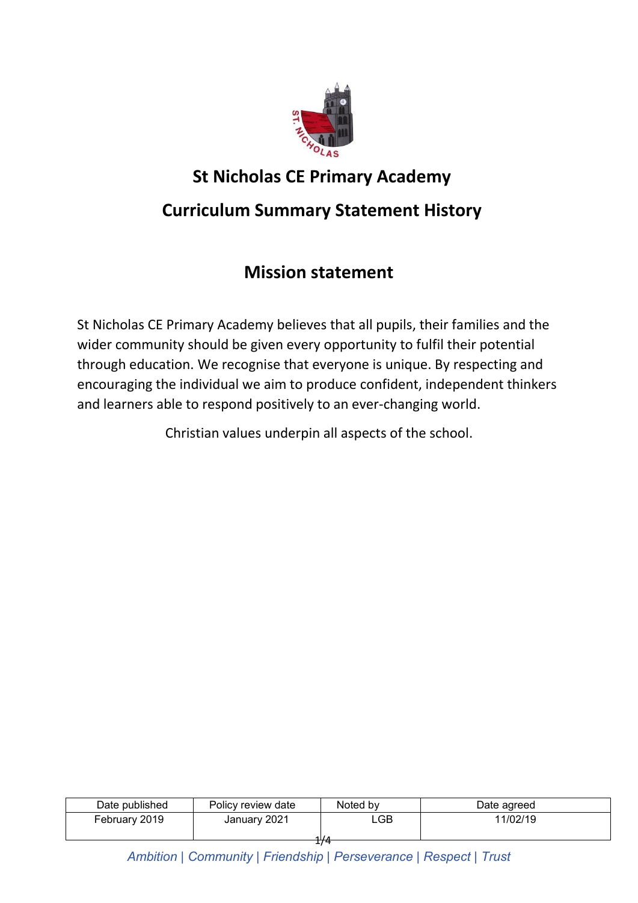

# **St Nicholas CE Primary Academy**

# **Curriculum Summary Statement History**

# **Mission statement**

St Nicholas CE Primary Academy believes that all pupils, their families and the wider community should be given every opportunity to fulfil their potential through education. We recognise that everyone is unique. By respecting and encouraging the individual we aim to produce confident, independent thinkers and learners able to respond positively to an ever-changing world.

Christian values underpin all aspects of the school.

| Date published | Policy review date | Noted by | Date agreed |
|----------------|--------------------|----------|-------------|
| February 2019  | January 2021       | ∟GB      | 11/02/19    |
|                |                    | $\sim$   |             |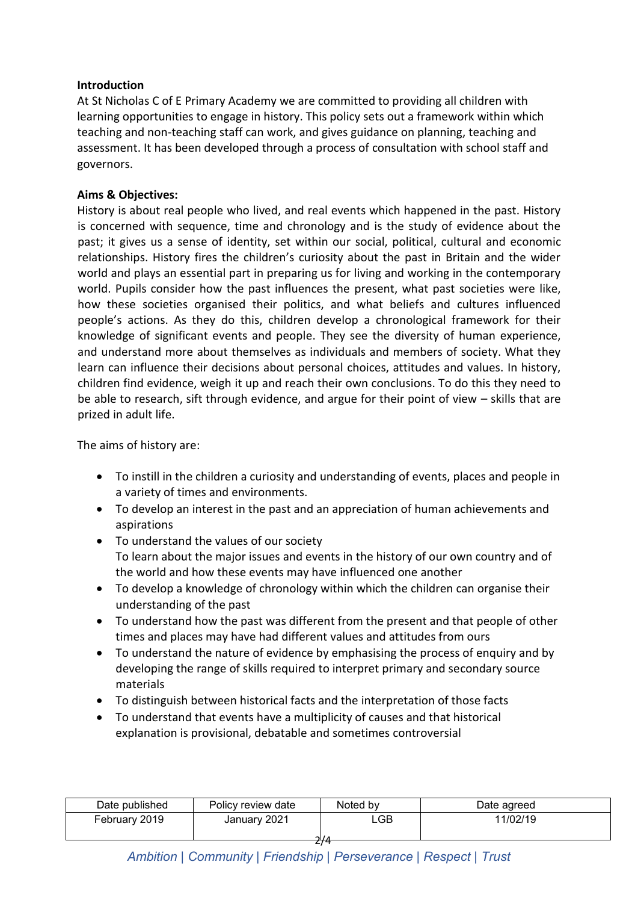### **Introduction**

At St Nicholas C of E Primary Academy we are committed to providing all children with learning opportunities to engage in history. This policy sets out a framework within which teaching and non-teaching staff can work, and gives guidance on planning, teaching and assessment. It has been developed through a process of consultation with school staff and governors.

#### **Aims & Objectives:**

History is about real people who lived, and real events which happened in the past. History is concerned with sequence, time and chronology and is the study of evidence about the past; it gives us a sense of identity, set within our social, political, cultural and economic relationships. History fires the children's curiosity about the past in Britain and the wider world and plays an essential part in preparing us for living and working in the contemporary world. Pupils consider how the past influences the present, what past societies were like, how these societies organised their politics, and what beliefs and cultures influenced people's actions. As they do this, children develop a chronological framework for their knowledge of significant events and people. They see the diversity of human experience, and understand more about themselves as individuals and members of society. What they learn can influence their decisions about personal choices, attitudes and values. In history, children find evidence, weigh it up and reach their own conclusions. To do this they need to be able to research, sift through evidence, and argue for their point of view – skills that are prized in adult life.

The aims of history are:

- To instill in the children a curiosity and understanding of events, places and people in a variety of times and environments.
- To develop an interest in the past and an appreciation of human achievements and aspirations
- To understand the values of our society To learn about the major issues and events in the history of our own country and of the world and how these events may have influenced one another
- To develop a knowledge of chronology within which the children can organise their understanding of the past
- To understand how the past was different from the present and that people of other times and places may have had different values and attitudes from ours
- To understand the nature of evidence by emphasising the process of enquiry and by developing the range of skills required to interpret primary and secondary source materials
- To distinguish between historical facts and the interpretation of those facts
- To understand that events have a multiplicity of causes and that historical explanation is provisional, debatable and sometimes controversial

| Date published | Policy review date | Noted by | Date agreed |  |
|----------------|--------------------|----------|-------------|--|
| February 2019  | January 2021       | _GB_     | 11/02/19    |  |
|                |                    | ำ / ภ    |             |  |
| 774            |                    |          |             |  |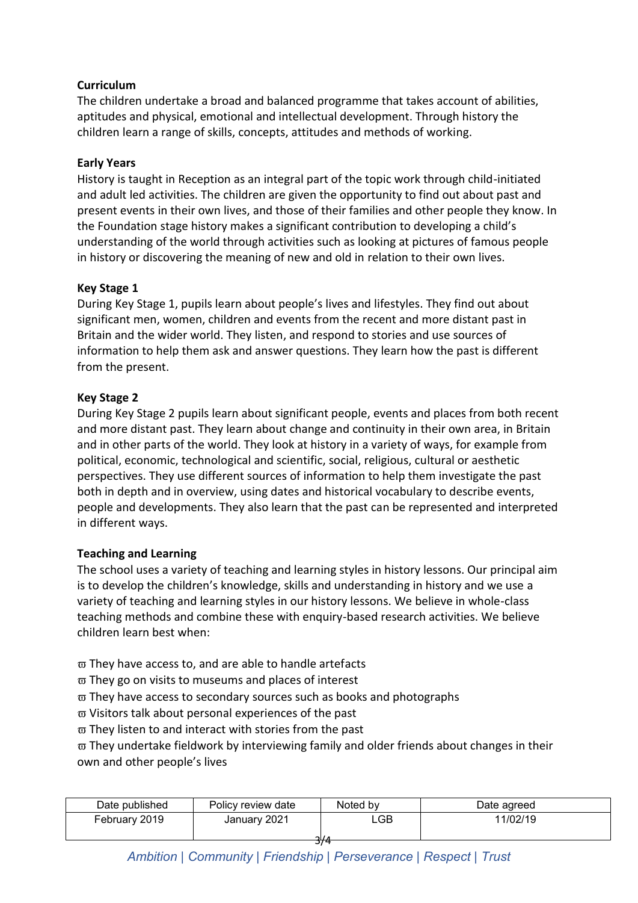## **Curriculum**

The children undertake a broad and balanced programme that takes account of abilities, aptitudes and physical, emotional and intellectual development. Through history the children learn a range of skills, concepts, attitudes and methods of working.

### **Early Years**

History is taught in Reception as an integral part of the topic work through child-initiated and adult led activities. The children are given the opportunity to find out about past and present events in their own lives, and those of their families and other people they know. In the Foundation stage history makes a significant contribution to developing a child's understanding of the world through activities such as looking at pictures of famous people in history or discovering the meaning of new and old in relation to their own lives.

#### **Key Stage 1**

During Key Stage 1, pupils learn about people's lives and lifestyles. They find out about significant men, women, children and events from the recent and more distant past in Britain and the wider world. They listen, and respond to stories and use sources of information to help them ask and answer questions. They learn how the past is different from the present.

### **Key Stage 2**

During Key Stage 2 pupils learn about significant people, events and places from both recent and more distant past. They learn about change and continuity in their own area, in Britain and in other parts of the world. They look at history in a variety of ways, for example from political, economic, technological and scientific, social, religious, cultural or aesthetic perspectives. They use different sources of information to help them investigate the past both in depth and in overview, using dates and historical vocabulary to describe events, people and developments. They also learn that the past can be represented and interpreted in different ways.

### **Teaching and Learning**

The school uses a variety of teaching and learning styles in history lessons. Our principal aim is to develop the children's knowledge, skills and understanding in history and we use a variety of teaching and learning styles in our history lessons. We believe in whole-class teaching methods and combine these with enquiry-based research activities. We believe children learn best when:

- $\varpi$  They have access to, and are able to handle artefacts
- $\overline{\omega}$  They go on visits to museums and places of interest
- $\overline{\omega}$  They have access to secondary sources such as books and photographs
- $\varpi$  Visitors talk about personal experiences of the past
- $\overline{\omega}$  They listen to and interact with stories from the past

 $\overline{\omega}$  They undertake fieldwork by interviewing family and older friends about changes in their own and other people's lives

| Date published | Policy review date | Noted by | Date agreed |
|----------------|--------------------|----------|-------------|
| February 2019  | January 2021       | .GB      | 11/02/19    |
|                |                    |          |             |
|                |                    | 374      |             |